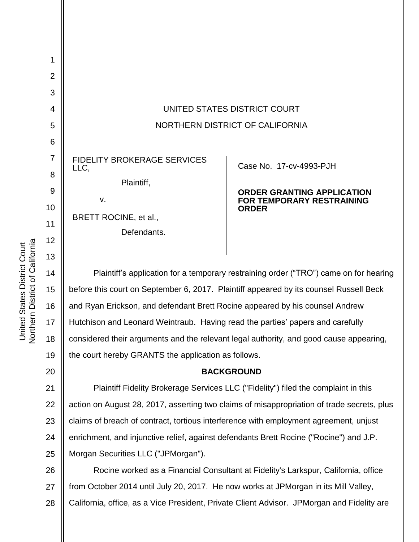

14 15 16 17 18 19 Plaintiff's application for a temporary restraining order ("TRO") came on for hearing before this court on September 6, 2017. Plaintiff appeared by its counsel Russell Beck and Ryan Erickson, and defendant Brett Rocine appeared by his counsel Andrew Hutchison and Leonard Weintraub. Having read the parties' papers and carefully considered their arguments and the relevant legal authority, and good cause appearing, the court hereby GRANTS the application as follows.

## **BACKGROUND**

21 22 23 24 25 Plaintiff Fidelity Brokerage Services LLC ("Fidelity") filed the complaint in this action on August 28, 2017, asserting two claims of misappropriation of trade secrets, plus claims of breach of contract, tortious interference with employment agreement, unjust enrichment, and injunctive relief, against defendants Brett Rocine ("Rocine") and J.P. Morgan Securities LLC ("JPMorgan").

26 27 28 Rocine worked as a Financial Consultant at Fidelity's Larkspur, California, office from October 2014 until July 20, 2017. He now works at JPMorgan in its Mill Valley, California, office, as a Vice President, Private Client Advisor. JPMorgan and Fidelity are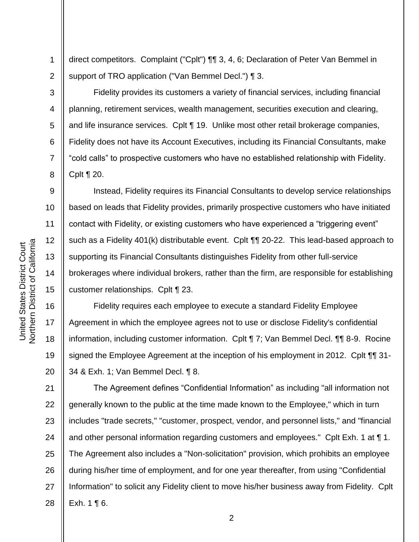1 2 direct competitors. Complaint ("Cplt") ¶¶ 3, 4, 6; Declaration of Peter Van Bemmel in support of TRO application ("Van Bemmel Decl.") ¶ 3.

Fidelity provides its customers a variety of financial services, including financial planning, retirement services, wealth management, securities execution and clearing, and life insurance services. Cplt ¶ 19. Unlike most other retail brokerage companies, Fidelity does not have its Account Executives, including its Financial Consultants, make "cold calls" to prospective customers who have no established relationship with Fidelity. Cplt ¶ 20.

Instead, Fidelity requires its Financial Consultants to develop service relationships based on leads that Fidelity provides, primarily prospective customers who have initiated contact with Fidelity, or existing customers who have experienced a "triggering event" such as a Fidelity 401(k) distributable event. Cplt ¶¶ 20-22. This lead-based approach to supporting its Financial Consultants distinguishes Fidelity from other full-service brokerages where individual brokers, rather than the firm, are responsible for establishing customer relationships. Cplt ¶ 23.

16 17 18 19 20 Fidelity requires each employee to execute a standard Fidelity Employee Agreement in which the employee agrees not to use or disclose Fidelity's confidential information, including customer information. Cplt ¶ 7; Van Bemmel Decl. ¶¶ 8-9. Rocine signed the Employee Agreement at the inception of his employment in 2012. Cplt ¶¶ 31- 34 & Exh. 1; Van Bemmel Decl. ¶ 8.

21 22 23 24 25 26 27 28 The Agreement defines "Confidential Information" as including "all information not generally known to the public at the time made known to the Employee," which in turn includes "trade secrets," "customer, prospect, vendor, and personnel lists," and "financial and other personal information regarding customers and employees." Cplt Exh. 1 at ¶ 1. The Agreement also includes a "Non-solicitation" provision, which prohibits an employee during his/her time of employment, and for one year thereafter, from using "Confidential Information" to solicit any Fidelity client to move his/her business away from Fidelity. Cplt Exh.  $1 \nvert 6$ .

3

4

5

6

7

8

9

10

11

12

13

14

15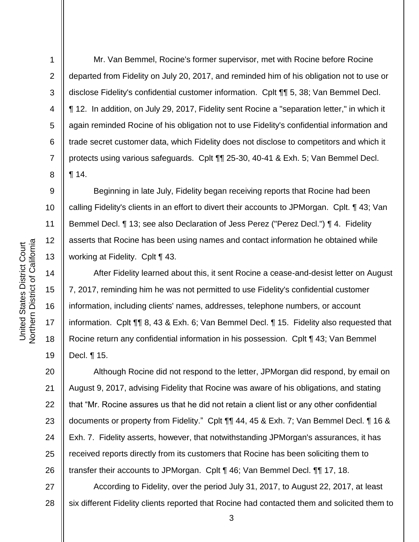**Northern District of California** Northern District of California United States District Court United States District Court

1

2

3

4

5

6

7

8

9

10

11

12

13

14

15

16

17

18

19

Mr. Van Bemmel, Rocine's former supervisor, met with Rocine before Rocine departed from Fidelity on July 20, 2017, and reminded him of his obligation not to use or disclose Fidelity's confidential customer information. Cplt ¶¶ 5, 38; Van Bemmel Decl. ¶ 12. In addition, on July 29, 2017, Fidelity sent Rocine a "separation letter," in which it again reminded Rocine of his obligation not to use Fidelity's confidential information and trade secret customer data, which Fidelity does not disclose to competitors and which it protects using various safeguards. Cplt ¶¶ 25-30, 40-41 & Exh. 5; Van Bemmel Decl. ¶ 14.

Beginning in late July, Fidelity began receiving reports that Rocine had been calling Fidelity's clients in an effort to divert their accounts to JPMorgan. Cplt. ¶ 43; Van Bemmel Decl. ¶ 13; see also Declaration of Jess Perez ("Perez Decl.") ¶ 4. Fidelity asserts that Rocine has been using names and contact information he obtained while working at Fidelity. Cplt ¶ 43.

After Fidelity learned about this, it sent Rocine a cease-and-desist letter on August 7, 2017, reminding him he was not permitted to use Fidelity's confidential customer information, including clients' names, addresses, telephone numbers, or account information. Cplt ¶¶ 8, 43 & Exh. 6; Van Bemmel Decl. ¶ 15. Fidelity also requested that Rocine return any confidential information in his possession. Cplt ¶ 43; Van Bemmel Decl. ¶ 15.

20 21 22 23 24 25 26 Although Rocine did not respond to the letter, JPMorgan did respond, by email on August 9, 2017, advising Fidelity that Rocine was aware of his obligations, and stating that "Mr. Rocine assures us that he did not retain a client list or any other confidential documents or property from Fidelity." Cplt ¶¶ 44, 45 & Exh. 7; Van Bemmel Decl. ¶ 16 & Exh. 7. Fidelity asserts, however, that notwithstanding JPMorgan's assurances, it has received reports directly from its customers that Rocine has been soliciting them to transfer their accounts to JPMorgan. Cplt ¶ 46; Van Bemmel Decl. ¶¶ 17, 18.

27 28 According to Fidelity, over the period July 31, 2017, to August 22, 2017, at least six different Fidelity clients reported that Rocine had contacted them and solicited them to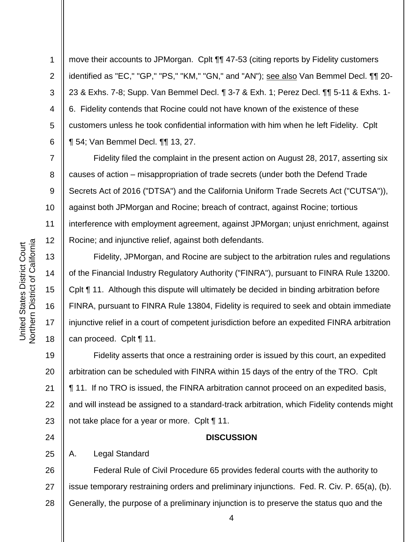**Northern District of California** Northern District of California United States District Court United States District Court

1

2

3

4

5

6

7

8

9

10

11

12

13

14

15

16

17

18

24

25

move their accounts to JPMorgan. Cplt ¶¶ 47-53 (citing reports by Fidelity customers identified as "EC," "GP," "PS," "KM," "GN," and "AN"); see also Van Bemmel Decl. 11 20-23 & Exhs. 7-8; Supp. Van Bemmel Decl. ¶ 3-7 & Exh. 1; Perez Decl. ¶¶ 5-11 & Exhs. 1- 6. Fidelity contends that Rocine could not have known of the existence of these customers unless he took confidential information with him when he left Fidelity. Cplt ¶ 54; Van Bemmel Decl. ¶¶ 13, 27.

Fidelity filed the complaint in the present action on August 28, 2017, asserting six causes of action – misappropriation of trade secrets (under both the Defend Trade Secrets Act of 2016 ("DTSA") and the California Uniform Trade Secrets Act ("CUTSA")), against both JPMorgan and Rocine; breach of contract, against Rocine; tortious interference with employment agreement, against JPMorgan; unjust enrichment, against Rocine; and injunctive relief, against both defendants.

Fidelity, JPMorgan, and Rocine are subject to the arbitration rules and regulations of the Financial Industry Regulatory Authority ("FINRA"), pursuant to FINRA Rule 13200. Cplt ¶ 11. Although this dispute will ultimately be decided in binding arbitration before FINRA, pursuant to FINRA Rule 13804, Fidelity is required to seek and obtain immediate injunctive relief in a court of competent jurisdiction before an expedited FINRA arbitration can proceed. Cplt ¶ 11.

19 20 21 22 23 Fidelity asserts that once a restraining order is issued by this court, an expedited arbitration can be scheduled with FINRA within 15 days of the entry of the TRO. Cplt ¶ 11. If no TRO is issued, the FINRA arbitration cannot proceed on an expedited basis, and will instead be assigned to a standard-track arbitration, which Fidelity contends might not take place for a year or more. Cplt ¶ 11.

## **DISCUSSION**

A. Legal Standard

26 27 28 Federal Rule of Civil Procedure 65 provides federal courts with the authority to issue temporary restraining orders and preliminary injunctions. Fed. R. Civ. P. 65(a), (b). Generally, the purpose of a preliminary injunction is to preserve the status quo and the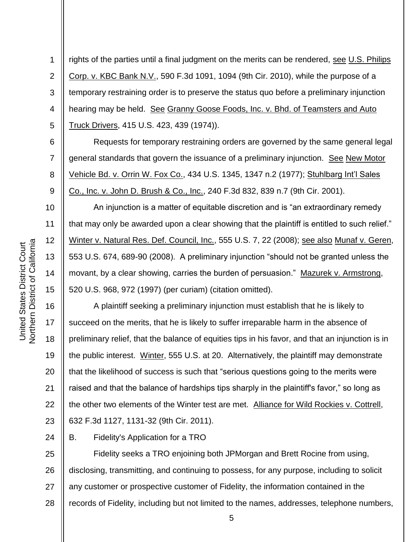1 2 3 4 5 rights of the parties until a final judgment on the merits can be rendered, see U.S. Philips Corp. v. KBC Bank N.V., 590 F.3d 1091, 1094 (9th Cir. 2010), while the purpose of a temporary restraining order is to preserve the status quo before a preliminary injunction hearing may be held. See Granny Goose Foods, Inc. v. Bhd. of Teamsters and Auto Truck Drivers, 415 U.S. 423, 439 (1974)).

Requests for temporary restraining orders are governed by the same general legal general standards that govern the issuance of a preliminary injunction. See New Motor Vehicle Bd. v. Orrin W. Fox Co., 434 U.S. 1345, 1347 n.2 (1977); Stuhlbarg Int'l Sales Co., Inc. v. John D. Brush & Co., Inc., 240 F.3d 832, 839 n.7 (9th Cir. 2001).

An injunction is a matter of equitable discretion and is "an extraordinary remedy that may only be awarded upon a clear showing that the plaintiff is entitled to such relief." Winter v. Natural Res. Def. Council, Inc., 555 U.S. 7, 22 (2008); see also Munaf v. Geren, 553 U.S. 674, 689-90 (2008). A preliminary injunction "should not be granted unless the movant, by a clear showing, carries the burden of persuasion." Mazurek v. Armstrong, 520 U.S. 968, 972 (1997) (per curiam) (citation omitted).

16 17 18 19 20 21 22 23 A plaintiff seeking a preliminary injunction must establish that he is likely to succeed on the merits, that he is likely to suffer irreparable harm in the absence of preliminary relief, that the balance of equities tips in his favor, and that an injunction is in the public interest. Winter, 555 U.S. at 20. Alternatively, the plaintiff may demonstrate that the likelihood of success is such that "serious questions going to the merits were raised and that the balance of hardships tips sharply in the plaintiff's favor," so long as the other two elements of the Winter test are met. Alliance for Wild Rockies v. Cottrell, 632 F.3d 1127, 1131-32 (9th Cir. 2011).

B. Fidelity's Application for a TRO

25 26 27 28 Fidelity seeks a TRO enjoining both JPMorgan and Brett Rocine from using, disclosing, transmitting, and continuing to possess, for any purpose, including to solicit any customer or prospective customer of Fidelity, the information contained in the records of Fidelity, including but not limited to the names, addresses, telephone numbers,

6

7

8

9

10

11

12

13

14

15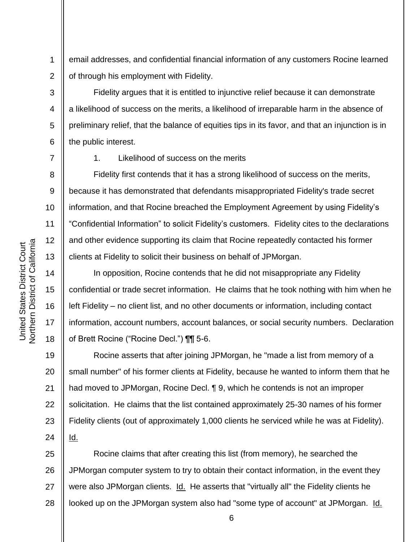1 2 email addresses, and confidential financial information of any customers Rocine learned of through his employment with Fidelity.

Fidelity argues that it is entitled to injunctive relief because it can demonstrate a likelihood of success on the merits, a likelihood of irreparable harm in the absence of preliminary relief, that the balance of equities tips in its favor, and that an injunction is in the public interest.

7

3

4

5

6

8

9

10

11

12

13

14

15

16

17

18

1. Likelihood of success on the merits

Fidelity first contends that it has a strong likelihood of success on the merits, because it has demonstrated that defendants misappropriated Fidelity's trade secret information, and that Rocine breached the Employment Agreement by using Fidelity's "Confidential Information" to solicit Fidelity's customers. Fidelity cites to the declarations and other evidence supporting its claim that Rocine repeatedly contacted his former clients at Fidelity to solicit their business on behalf of JPMorgan.

In opposition, Rocine contends that he did not misappropriate any Fidelity confidential or trade secret information. He claims that he took nothing with him when he left Fidelity – no client list, and no other documents or information, including contact information, account numbers, account balances, or social security numbers. Declaration of Brett Rocine ("Rocine Decl.") ¶¶ 5-6.

19 20 21 22 23 24 Rocine asserts that after joining JPMorgan, he "made a list from memory of a small number" of his former clients at Fidelity, because he wanted to inform them that he had moved to JPMorgan, Rocine Decl. ¶ 9, which he contends is not an improper solicitation. He claims that the list contained approximately 25-30 names of his former Fidelity clients (out of approximately 1,000 clients he serviced while he was at Fidelity). Id.

25 26 27 28 Rocine claims that after creating this list (from memory), he searched the JPMorgan computer system to try to obtain their contact information, in the event they were also JPMorgan clients. Id. He asserts that "virtually all" the Fidelity clients he looked up on the JPMorgan system also had "some type of account" at JPMorgan. Id.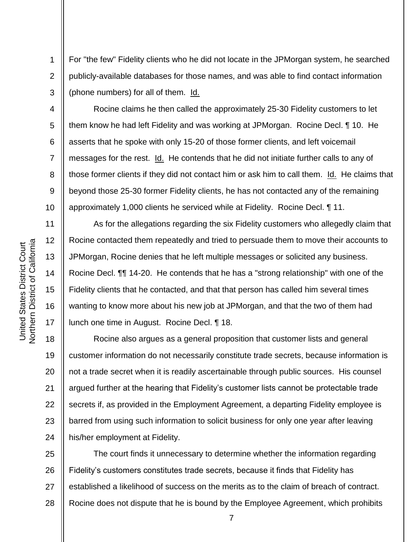For "the few" Fidelity clients who he did not locate in the JPMorgan system, he searched publicly-available databases for those names, and was able to find contact information (phone numbers) for all of them. Id.

Rocine claims he then called the approximately 25-30 Fidelity customers to let them know he had left Fidelity and was working at JPMorgan. Rocine Decl. ¶ 10. He asserts that he spoke with only 15-20 of those former clients, and left voicemail messages for the rest. Id. He contends that he did not initiate further calls to any of those former clients if they did not contact him or ask him to call them. Id. He claims that beyond those 25-30 former Fidelity clients, he has not contacted any of the remaining approximately 1,000 clients he serviced while at Fidelity. Rocine Decl. ¶ 11.

As for the allegations regarding the six Fidelity customers who allegedly claim that Rocine contacted them repeatedly and tried to persuade them to move their accounts to JPMorgan, Rocine denies that he left multiple messages or solicited any business. Rocine Decl. ¶¶ 14-20. He contends that he has a "strong relationship" with one of the Fidelity clients that he contacted, and that that person has called him several times wanting to know more about his new job at JPMorgan, and that the two of them had lunch one time in August. Rocine Decl. ¶ 18.

18 19 20 21 22 23 24 Rocine also argues as a general proposition that customer lists and general customer information do not necessarily constitute trade secrets, because information is not a trade secret when it is readily ascertainable through public sources. His counsel argued further at the hearing that Fidelity's customer lists cannot be protectable trade secrets if, as provided in the Employment Agreement, a departing Fidelity employee is barred from using such information to solicit business for only one year after leaving his/her employment at Fidelity.

25 26 27 28 The court finds it unnecessary to determine whether the information regarding Fidelity's customers constitutes trade secrets, because it finds that Fidelity has established a likelihood of success on the merits as to the claim of breach of contract. Rocine does not dispute that he is bound by the Employee Agreement, which prohibits

1

2

3

4

5

6

7

8

9

10

11

12

13

14

15

16

17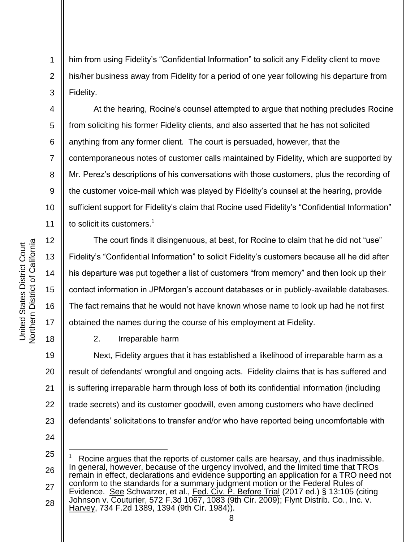his/her business away from Fidelity for a period of one year following his departure from Fidelity.

1

2

3

4

5

6

7

8

9

10

11

12

13

14

15

16

17

18

At the hearing, Rocine's counsel attempted to argue that nothing precludes Rocine from soliciting his former Fidelity clients, and also asserted that he has not solicited anything from any former client. The court is persuaded, however, that the contemporaneous notes of customer calls maintained by Fidelity, which are supported by Mr. Perez's descriptions of his conversations with those customers, plus the recording of the customer voice-mail which was played by Fidelity's counsel at the hearing, provide sufficient support for Fidelity's claim that Rocine used Fidelity's "Confidential Information" to solicit its customers. $<sup>1</sup>$ </sup>

him from using Fidelity's "Confidential Information" to solicit any Fidelity client to move

The court finds it disingenuous, at best, for Rocine to claim that he did not "use" Fidelity's "Confidential Information" to solicit Fidelity's customers because all he did after his departure was put together a list of customers "from memory" and then look up their contact information in JPMorgan's account databases or in publicly-available databases. The fact remains that he would not have known whose name to look up had he not first obtained the names during the course of his employment at Fidelity.

2. Irreparable harm

19 20 21 22 23 Next, Fidelity argues that it has established a likelihood of irreparable harm as a result of defendants' wrongful and ongoing acts. Fidelity claims that is has suffered and is suffering irreparable harm through loss of both its confidential information (including trade secrets) and its customer goodwill, even among customers who have declined defendants' solicitations to transfer and/or who have reported being uncomfortable with

24

l

25 26 27 28 1 Rocine argues that the reports of customer calls are hearsay, and thus inadmissible. In general, however, because of the urgency involved, and the limited time that TROs remain in effect, declarations and evidence supporting an application for a TRO need not conform to the standards for a summary judgment motion or the Federal Rules of Evidence. See Schwarzer, et al., Fed. Civ. P. Before Trial (2017 ed.) § 13:105 (citing Johnson v. Couturier, 572 F.3d 1067, 1083 (9th Cir. 2009); Flynt Distrib. Co., Inc. v. Harvey, 734 F.2d 1389, 1394 (9th Cir. 1984)).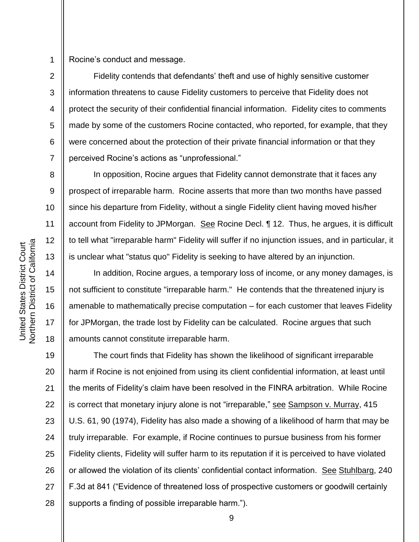1 Rocine's conduct and message.

Fidelity contends that defendants' theft and use of highly sensitive customer information threatens to cause Fidelity customers to perceive that Fidelity does not protect the security of their confidential financial information. Fidelity cites to comments made by some of the customers Rocine contacted, who reported, for example, that they were concerned about the protection of their private financial information or that they perceived Rocine's actions as "unprofessional."

In opposition, Rocine argues that Fidelity cannot demonstrate that it faces any prospect of irreparable harm. Rocine asserts that more than two months have passed since his departure from Fidelity, without a single Fidelity client having moved his/her account from Fidelity to JPMorgan. See Rocine Decl. 1 12. Thus, he argues, it is difficult to tell what "irreparable harm" Fidelity will suffer if no injunction issues, and in particular, it is unclear what "status quo" Fidelity is seeking to have altered by an injunction.

In addition, Rocine argues, a temporary loss of income, or any money damages, is not sufficient to constitute "irreparable harm." He contends that the threatened injury is amenable to mathematically precise computation – for each customer that leaves Fidelity for JPMorgan, the trade lost by Fidelity can be calculated. Rocine argues that such amounts cannot constitute irreparable harm.

19 20 21 22 23 24 25 26 27 28 The court finds that Fidelity has shown the likelihood of significant irreparable harm if Rocine is not enjoined from using its client confidential information, at least until the merits of Fidelity's claim have been resolved in the FINRA arbitration. While Rocine is correct that monetary injury alone is not "irreparable," see Sampson v. Murray, 415 U.S. 61, 90 (1974), Fidelity has also made a showing of a likelihood of harm that may be truly irreparable. For example, if Rocine continues to pursue business from his former Fidelity clients, Fidelity will suffer harm to its reputation if it is perceived to have violated or allowed the violation of its clients' confidential contact information. See Stuhlbarg, 240 F.3d at 841 ("Evidence of threatened loss of prospective customers or goodwill certainly supports a finding of possible irreparable harm.").

2

3

4

5

6

7

8

9

10

11

12

13

14

15

16

17

18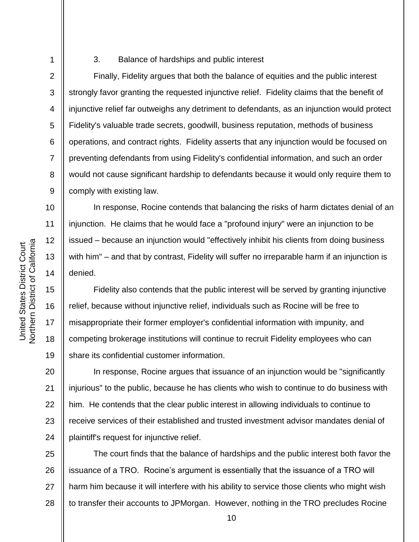1 2

3

4

5

6

7

8

9

10

11

12

13

14

15

16

17

18

19

## 3. Balance of hardships and public interest

Finally, Fidelity argues that both the balance of equities and the public interest strongly favor granting the requested injunctive relief. Fidelity claims that the benefit of injunctive relief far outweighs any detriment to defendants, as an injunction would protect Fidelity's valuable trade secrets, goodwill, business reputation, methods of business operations, and contract rights. Fidelity asserts that any injunction would be focused on preventing defendants from using Fidelity's confidential information, and such an order would not cause significant hardship to defendants because it would only require them to comply with existing law.

In response, Rocine contends that balancing the risks of harm dictates denial of an injunction. He claims that he would face a "profound injury" were an injunction to be issued – because an injunction would "effectively inhibit his clients from doing business with him" – and that by contrast, Fidelity will suffer no irreparable harm if an injunction is denied.

Fidelity also contends that the public interest will be served by granting injunctive relief, because without injunctive relief, individuals such as Rocine will be free to misappropriate their former employer's confidential information with impunity, and competing brokerage institutions will continue to recruit Fidelity employees who can share its confidential customer information.

20 21 22 23 24 In response, Rocine argues that issuance of an injunction would be "significantly injurious" to the public, because he has clients who wish to continue to do business with him. He contends that the clear public interest in allowing individuals to continue to receive services of their established and trusted investment advisor mandates denial of plaintiff's request for injunctive relief.

25 26 27 28 The court finds that the balance of hardships and the public interest both favor the issuance of a TRO. Rocine's argument is essentially that the issuance of a TRO will harm him because it will interfere with his ability to service those clients who might wish to transfer their accounts to JPMorgan. However, nothing in the TRO precludes Rocine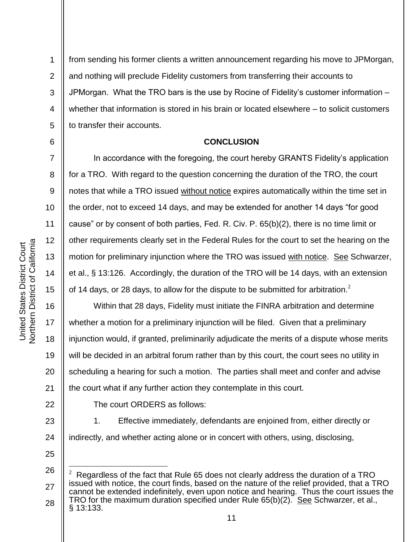6

7

8

9

10

11

12

13

14

15

17

21

22

1 2 3 4 5 from sending his former clients a written announcement regarding his move to JPMorgan, and nothing will preclude Fidelity customers from transferring their accounts to JPMorgan. What the TRO bars is the use by Rocine of Fidelity's customer information – whether that information is stored in his brain or located elsewhere – to solicit customers to transfer their accounts.

## **CONCLUSION**

In accordance with the foregoing, the court hereby GRANTS Fidelity's application for a TRO. With regard to the question concerning the duration of the TRO, the court notes that while a TRO issued without notice expires automatically within the time set in the order, not to exceed 14 days, and may be extended for another 14 days "for good cause" or by consent of both parties, Fed. R. Civ. P. 65(b)(2), there is no time limit or other requirements clearly set in the Federal Rules for the court to set the hearing on the motion for preliminary injunction where the TRO was issued with notice. See Schwarzer, et al., § 13:126. Accordingly, the duration of the TRO will be 14 days, with an extension of 14 days, or 28 days, to allow for the dispute to be submitted for arbitration.<sup>2</sup>

16 18 19 20 Within that 28 days, Fidelity must initiate the FINRA arbitration and determine whether a motion for a preliminary injunction will be filed. Given that a preliminary injunction would, if granted, preliminarily adjudicate the merits of a dispute whose merits will be decided in an arbitral forum rather than by this court, the court sees no utility in scheduling a hearing for such a motion. The parties shall meet and confer and advise the court what if any further action they contemplate in this court.

The court ORDERS as follows:

23 24 1. Effective immediately, defendants are enjoined from, either directly or indirectly, and whether acting alone or in concert with others, using, disclosing,

25

l

<sup>26</sup> 27 28 <sup>2</sup> Regardless of the fact that Rule 65 does not clearly address the duration of a TRO issued with notice, the court finds, based on the nature of the relief provided, that a TRO cannot be extended indefinitely, even upon notice and hearing. Thus the court issues the TRO for the maximum duration specified under Rule 65(b)(2). See Schwarzer, et al., § 13:133.